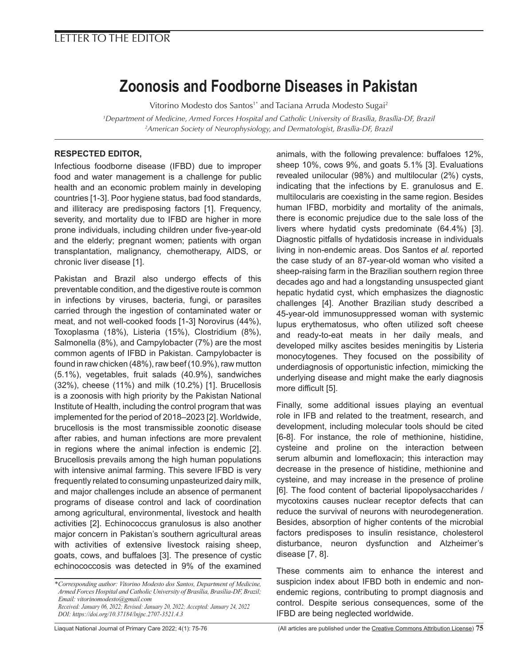# LETTER TO THE EDITOR

# **Zoonosis and Foodborne Diseases in Pakistan**

Vitorino Modesto dos Santos<sup>1\*</sup> and Taciana Arruda Modesto Sugai<sup>2</sup>

*1 Department of Medicine, Armed Forces Hospital and Catholic University of Brasília, Brasília-DF, Brazil 2 American Society of Neurophysiology, and Dermatologist, Brasília-DF, Brazil*

## **RESPECTED EDITOR,**

Infectious foodborne disease (IFBD) due to improper food and water management is a challenge for public health and an economic problem mainly in developing countries [1-3]. Poor hygiene status, bad food standards, and illiteracy are predisposing factors [1]. Frequency, severity, and mortality due to IFBD are higher in more prone individuals, including children under five-year-old and the elderly; pregnant women; patients with organ transplantation, malignancy, chemotherapy, AIDS, or chronic liver disease [1].

Pakistan and Brazil also undergo effects of this preventable condition, and the digestive route is common in infections by viruses, bacteria, fungi, or parasites carried through the ingestion of contaminated water or meat, and not well-cooked foods [1-3] Norovirus (44%), Toxoplasma (18%), Listeria (15%), Clostridium (8%), Salmonella (8%), and Campylobacter (7%) are the most common agents of IFBD in Pakistan. Campylobacter is found in raw chicken (48%), raw beef (10.9%), raw mutton (5.1%), vegetables, fruit salads (40.9%), sandwiches (32%), cheese (11%) and milk (10.2%) [1]. Brucellosis is a zoonosis with high priority by the Pakistan National Institute of Health, including the control program that was implemented for the period of 2018–2023 [2]. Worldwide, brucellosis is the most transmissible zoonotic disease after rabies, and human infections are more prevalent in regions where the animal infection is endemic [2]. Brucellosis prevails among the high human populations with intensive animal farming. This severe IFBD is very frequently related to consuming unpasteurized dairy milk, and major challenges include an absence of permanent programs of disease control and lack of coordination among agricultural, environmental, livestock and health activities [2]. Echinococcus granulosus is also another major concern in Pakistan's southern agricultural areas with activities of extensive livestock raising sheep, goats, cows, and buffaloes [3]. The presence of cystic echinococcosis was detected in 9% of the examined animals, with the following prevalence: buffaloes 12%, sheep 10%, cows 9%, and goats 5.1% [3]. Evaluations revealed unilocular (98%) and multilocular (2%) cysts, indicating that the infections by E. granulosus and E. multilocularis are coexisting in the same region. Besides human IFBD, morbidity and mortality of the animals, there is economic prejudice due to the sale loss of the livers where hydatid cysts predominate (64.4%) [3]. Diagnostic pitfalls of hydatidosis increase in individuals living in non-endemic areas. Dos Santos *et al.* reported the case study of an 87-year-old woman who visited a sheep-raising farm in the Brazilian southern region three decades ago and had a longstanding unsuspected giant hepatic hydatid cyst, which emphasizes the diagnostic challenges [4]. Another Brazilian study described a 45-year-old immunosuppressed woman with systemic lupus erythematosus, who often utilized soft cheese and ready-to-eat meats in her daily meals, and developed milky ascites besides meningitis by Listeria monocytogenes. They focused on the possibility of underdiagnosis of opportunistic infection, mimicking the underlying disease and might make the early diagnosis more difficult [5].

Finally, some additional issues playing an eventual role in IFB and related to the treatment, research, and development, including molecular tools should be cited [6-8]. For instance, the role of methionine, histidine, cysteine and proline on the interaction between serum albumin and lomefloxacin; this interaction may decrease in the presence of histidine, methionine and cysteine, and may increase in the presence of proline [6]. The food content of bacterial lipopolysaccharides / mycotoxins causes nuclear receptor defects that can reduce the survival of neurons with neurodegeneration. Besides, absorption of higher contents of the microbial factors predisposes to insulin resistance, cholesterol disturbance, neuron dysfunction and Alzheimer's disease [7, 8].

These comments aim to enhance the interest and suspicion index about IFBD both in endemic and nonendemic regions, contributing to prompt diagnosis and control. Despite serious consequences, some of the IFBD are being neglected worldwide.

*<sup>\*</sup>Corresponding author: Vitorino Modesto dos Santos, Department of Medicine, Armed Forces Hospital and Catholic University of Brasília, Brasília-DF, Brazil; Email: vitorinomodesto@gmail.com*

*Received: January 06, 2022; Revised: January 20, 2022; Accepted: January 24, 2022 DOI: https://doi.org/10.37184/lnjpc.2707-3521.4.3*